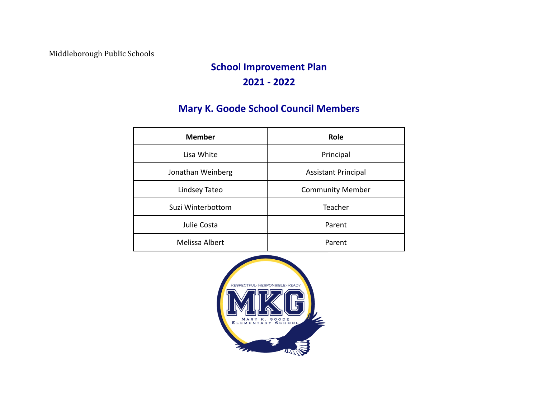Middleborough Public Schools

# **School Improvement Plan 2021 - 2022**

## **Mary K. Goode School Council Members**

| <b>Member</b>     | Role                       |  |
|-------------------|----------------------------|--|
| Lisa White        | Principal                  |  |
| Jonathan Weinberg | <b>Assistant Principal</b> |  |
| Lindsey Tateo     | <b>Community Member</b>    |  |
| Suzi Winterbottom | Teacher                    |  |
| Julie Costa       | Parent                     |  |
| Melissa Albert    | Parent                     |  |

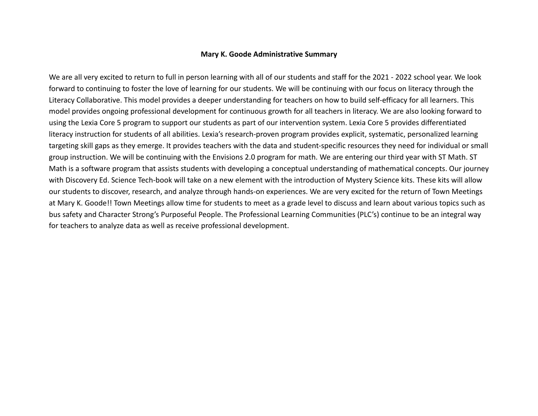#### **Mary K. Goode Administrative Summary**

We are all very excited to return to full in person learning with all of our students and staff for the 2021 - 2022 school year. We look forward to continuing to foster the love of learning for our students. We will be continuing with our focus on literacy through the Literacy Collaborative. This model provides a deeper understanding for teachers on how to build self-efficacy for all learners. This model provides ongoing professional development for continuous growth for all teachers in literacy. We are also looking forward to using the Lexia Core 5 program to support our students as part of our intervention system. Lexia Core 5 provides differentiated literacy instruction for students of all abilities. Lexia's research-proven program provides explicit, systematic, personalized learning targeting skill gaps as they emerge. It provides teachers with the data and student-specific resources they need for individual or small group instruction. We will be continuing with the Envisions 2.0 program for math. We are entering our third year with ST Math. ST Math is a software program that assists students with developing a conceptual understanding of mathematical concepts. Our journey with Discovery Ed. Science Tech-book will take on a new element with the introduction of Mystery Science kits. These kits will allow our students to discover, research, and analyze through hands-on experiences. We are very excited for the return of Town Meetings at Mary K. Goode!! Town Meetings allow time for students to meet as a grade level to discuss and learn about various topics such as bus safety and Character Strong's Purposeful People. The Professional Learning Communities (PLC's) continue to be an integral way for teachers to analyze data as well as receive professional development.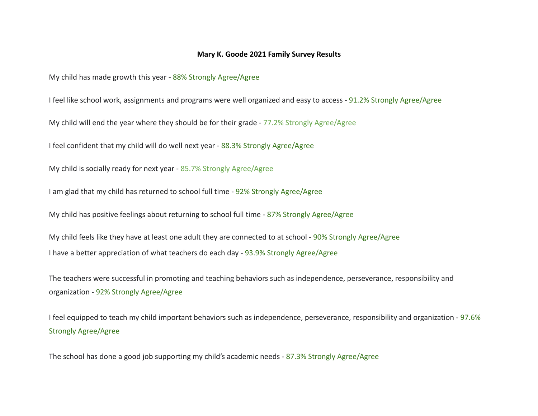### **Mary K. Goode 2021 Family Survey Results**

My child has made growth this year - 88% Strongly Agree/Agree

I feel like school work, assignments and programs were well organized and easy to access - 91.2% Strongly Agree/Agree

My child will end the year where they should be for their grade - 77.2% Strongly Agree/Agree

I feel confident that my child will do well next year - 88.3% Strongly Agree/Agree

My child is socially ready for next year - 85.7% Strongly Agree/Agree

I am glad that my child has returned to school full time - 92% Strongly Agree/Agree

My child has positive feelings about returning to school full time - 87% Strongly Agree/Agree

My child feels like they have at least one adult they are connected to at school - 90% Strongly Agree/Agree I have a better appreciation of what teachers do each day - 93.9% Strongly Agree/Agree

The teachers were successful in promoting and teaching behaviors such as independence, perseverance, responsibility and organization - 92% Strongly Agree/Agree

I feel equipped to teach my child important behaviors such as independence, perseverance, responsibility and organization - 97.6% Strongly Agree/Agree

The school has done a good job supporting my child's academic needs - 87.3% Strongly Agree/Agree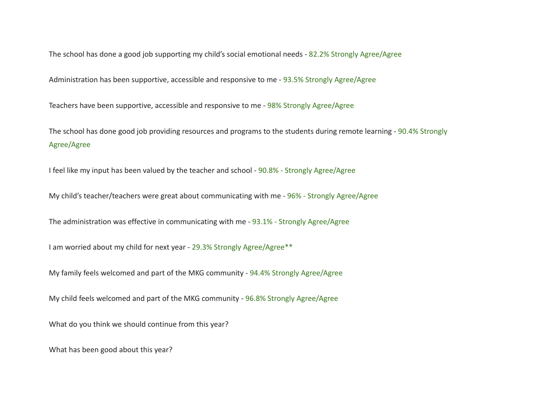The school has done a good job supporting my child's social emotional needs - 82.2% Strongly Agree/Agree

Administration has been supportive, accessible and responsive to me - 93.5% Strongly Agree/Agree

Teachers have been supportive, accessible and responsive to me - 98% Strongly Agree/Agree

The school has done good job providing resources and programs to the students during remote learning - 90.4% Strongly Agree/Agree

I feel like my input has been valued by the teacher and school - 90.8% - Strongly Agree/Agree

My child's teacher/teachers were great about communicating with me - 96% - Strongly Agree/Agree

The administration was effective in communicating with me - 93.1% - Strongly Agree/Agree

I am worried about my child for next year - 29.3% Strongly Agree/Agree\*\*

My family feels welcomed and part of the MKG community - 94.4% Strongly Agree/Agree

My child feels welcomed and part of the MKG community - 96.8% Strongly Agree/Agree

What do you think we should continue from this year?

What has been good about this year?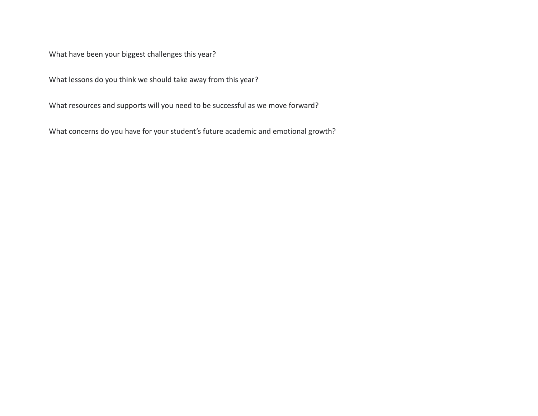What have been your biggest challenges this year?

What lessons do you think we should take away from this year?

What resources and supports will you need to be successful as we move forward?

What concerns do you have for your student's future academic and emotional growth?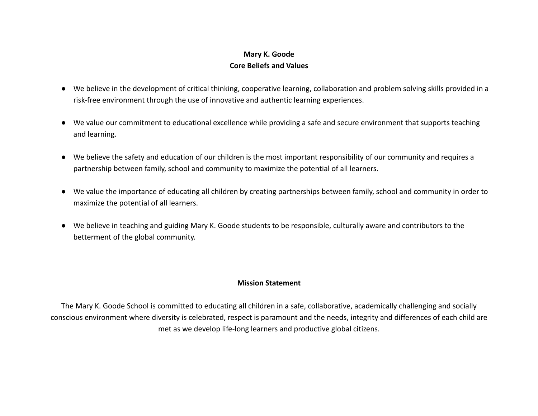### **Mary K. Goode Core Beliefs and Values**

- We believe in the development of critical thinking, cooperative learning, collaboration and problem solving skills provided in a risk-free environment through the use of innovative and authentic learning experiences.
- We value our commitment to educational excellence while providing a safe and secure environment that supports teaching and learning.
- We believe the safety and education of our children is the most important responsibility of our community and requires a partnership between family, school and community to maximize the potential of all learners.
- We value the importance of educating all children by creating partnerships between family, school and community in order to maximize the potential of all learners.
- We believe in teaching and guiding Mary K. Goode students to be responsible, culturally aware and contributors to the betterment of the global community.

### **Mission Statement**

The Mary K. Goode School is committed to educating all children in a safe, collaborative, academically challenging and socially conscious environment where diversity is celebrated, respect is paramount and the needs, integrity and differences of each child are met as we develop life-long learners and productive global citizens.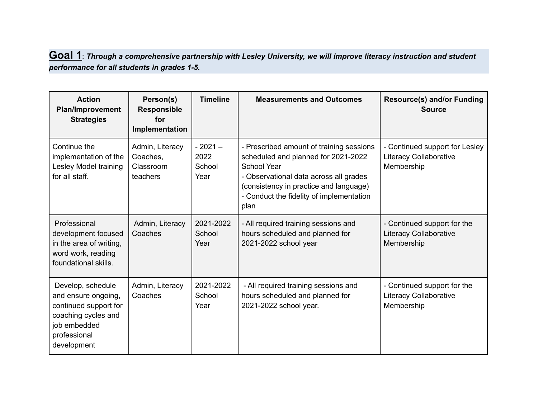### Goal 1: Through a comprehensive partnership with Lesley University, we will improve literacy instruction and student *performance for all students in grades 1-5.*

| <b>Action</b><br><b>Plan/Improvement</b><br><b>Strategies</b>                                                                           | Person(s)<br><b>Responsible</b><br>for<br>Implementation | <b>Timeline</b>                    | <b>Measurements and Outcomes</b>                                                                                                                                                                                                       | <b>Resource(s) and/or Funding</b><br><b>Source</b>                         |
|-----------------------------------------------------------------------------------------------------------------------------------------|----------------------------------------------------------|------------------------------------|----------------------------------------------------------------------------------------------------------------------------------------------------------------------------------------------------------------------------------------|----------------------------------------------------------------------------|
| Continue the<br>implementation of the<br>Lesley Model training<br>for all staff.                                                        | Admin, Literacy<br>Coaches,<br>Classroom<br>teachers     | $-2021-$<br>2022<br>School<br>Year | - Prescribed amount of training sessions<br>scheduled and planned for 2021-2022<br>School Year<br>- Observational data across all grades<br>(consistency in practice and language)<br>- Conduct the fidelity of implementation<br>plan | - Continued support for Lesley<br>Literacy Collaborative<br>Membership     |
| Professional<br>development focused<br>in the area of writing,<br>word work, reading<br>foundational skills.                            | Admin, Literacy<br>Coaches                               | 2021-2022<br>School<br>Year        | - All required training sessions and<br>hours scheduled and planned for<br>2021-2022 school year                                                                                                                                       | - Continued support for the<br><b>Literacy Collaborative</b><br>Membership |
| Develop, schedule<br>and ensure ongoing,<br>continued support for<br>coaching cycles and<br>job embedded<br>professional<br>development | Admin, Literacy<br>Coaches                               | 2021-2022<br>School<br>Year        | - All required training sessions and<br>hours scheduled and planned for<br>2021-2022 school year.                                                                                                                                      | - Continued support for the<br>Literacy Collaborative<br>Membership        |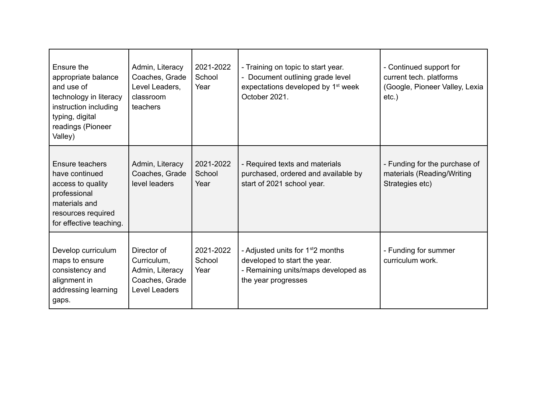| Ensure the<br>appropriate balance<br>and use of<br>technology in literacy<br>instruction including<br>typing, digital<br>readings (Pioneer<br>Valley) | Admin, Literacy<br>Coaches, Grade<br>Level Leaders,<br>classroom<br>teachers     | 2021-2022<br>School<br>Year | - Training on topic to start year.<br>- Document outlining grade level<br>expectations developed by 1 <sup>st</sup> week<br>October 2021.   | - Continued support for<br>current tech. platforms<br>(Google, Pioneer Valley, Lexia<br>$etc.$ ) |
|-------------------------------------------------------------------------------------------------------------------------------------------------------|----------------------------------------------------------------------------------|-----------------------------|---------------------------------------------------------------------------------------------------------------------------------------------|--------------------------------------------------------------------------------------------------|
| Ensure teachers<br>have continued<br>access to quality<br>professional<br>materials and<br>resources required<br>for effective teaching.              | Admin, Literacy<br>Coaches, Grade<br>level leaders                               | 2021-2022<br>School<br>Year | - Required texts and materials<br>purchased, ordered and available by<br>start of 2021 school year.                                         | - Funding for the purchase of<br>materials (Reading/Writing<br>Strategies etc)                   |
| Develop curriculum<br>maps to ensure<br>consistency and<br>alignment in<br>addressing learning<br>gaps.                                               | Director of<br>Curriculum,<br>Admin, Literacy<br>Coaches, Grade<br>Level Leaders | 2021-2022<br>School<br>Year | - Adjusted units for 1 <sup>st</sup> 2 months<br>developed to start the year.<br>- Remaining units/maps developed as<br>the year progresses | - Funding for summer<br>curriculum work.                                                         |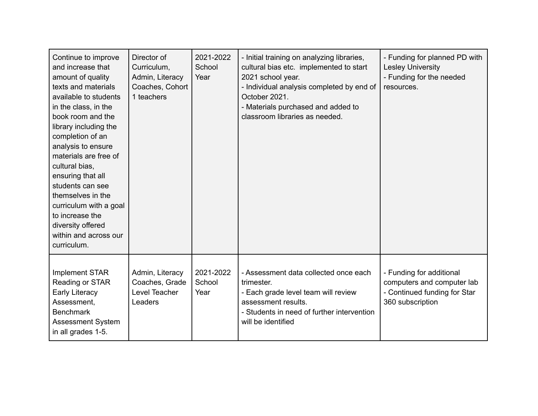| Continue to improve<br>and increase that<br>amount of quality<br>texts and materials<br>available to students<br>in the class, in the<br>book room and the<br>library including the<br>completion of an<br>analysis to ensure<br>materials are free of<br>cultural bias,<br>ensuring that all<br>students can see<br>themselves in the<br>curriculum with a goal<br>to increase the<br>diversity offered<br>within and across our<br>curriculum. | Director of<br>Curriculum,<br>Admin, Literacy<br>Coaches, Cohort<br>1 teachers | 2021-2022<br>School<br>Year | - Initial training on analyzing libraries,<br>cultural bias etc. implemented to start<br>2021 school year.<br>- Individual analysis completed by end of<br>October 2021.<br>- Materials purchased and added to<br>classroom libraries as needed. | - Funding for planned PD with<br><b>Lesley University</b><br>- Funding for the needed<br>resources.        |
|--------------------------------------------------------------------------------------------------------------------------------------------------------------------------------------------------------------------------------------------------------------------------------------------------------------------------------------------------------------------------------------------------------------------------------------------------|--------------------------------------------------------------------------------|-----------------------------|--------------------------------------------------------------------------------------------------------------------------------------------------------------------------------------------------------------------------------------------------|------------------------------------------------------------------------------------------------------------|
| <b>Implement STAR</b><br>Reading or STAR<br><b>Early Literacy</b><br>Assessment,<br><b>Benchmark</b><br><b>Assessment System</b><br>in all grades 1-5.                                                                                                                                                                                                                                                                                           | Admin, Literacy<br>Coaches, Grade<br>Level Teacher<br>Leaders                  | 2021-2022<br>School<br>Year | - Assessment data collected once each<br>trimester.<br>- Each grade level team will review<br>assessment results.<br>- Students in need of further intervention<br>will be identified                                                            | - Funding for additional<br>computers and computer lab<br>- Continued funding for Star<br>360 subscription |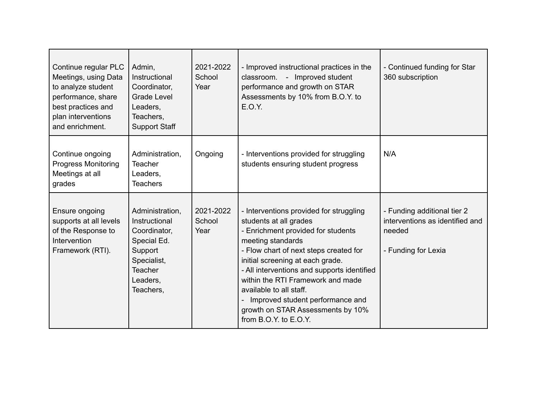| Continue regular PLC<br>Meetings, using Data<br>to analyze student<br>performance, share<br>best practices and<br>plan interventions<br>and enrichment. | Admin,<br>Instructional<br>Coordinator,<br><b>Grade Level</b><br>Leaders,<br>Teachers,<br><b>Support Staff</b>                       | 2021-2022<br>School<br>Year | - Improved instructional practices in the<br>classroom. - Improved student<br>performance and growth on STAR<br>Assessments by 10% from B.O.Y. to<br>E.O.Y.                                                                                                                                                                                                                                                                     | - Continued funding for Star<br>360 subscription                                                |
|---------------------------------------------------------------------------------------------------------------------------------------------------------|--------------------------------------------------------------------------------------------------------------------------------------|-----------------------------|---------------------------------------------------------------------------------------------------------------------------------------------------------------------------------------------------------------------------------------------------------------------------------------------------------------------------------------------------------------------------------------------------------------------------------|-------------------------------------------------------------------------------------------------|
| Continue ongoing<br><b>Progress Monitoring</b><br>Meetings at all<br>grades                                                                             | Administration,<br><b>Teacher</b><br>Leaders,<br><b>Teachers</b>                                                                     | Ongoing                     | - Interventions provided for struggling<br>students ensuring student progress                                                                                                                                                                                                                                                                                                                                                   | N/A                                                                                             |
| Ensure ongoing<br>supports at all levels<br>of the Response to<br>Intervention<br>Framework (RTI).                                                      | Administration,<br>Instructional<br>Coordinator,<br>Special Ed.<br>Support<br>Specialist,<br><b>Teacher</b><br>Leaders,<br>Teachers, | 2021-2022<br>School<br>Year | - Interventions provided for struggling<br>students at all grades<br>- Enrichment provided for students<br>meeting standards<br>- Flow chart of next steps created for<br>initial screening at each grade.<br>- All interventions and supports identified<br>within the RTI Framework and made<br>available to all staff.<br>Improved student performance and<br>growth on STAR Assessments by 10%<br>from $B.O.Y.$ to $E.O.Y.$ | - Funding additional tier 2<br>interventions as identified and<br>needed<br>- Funding for Lexia |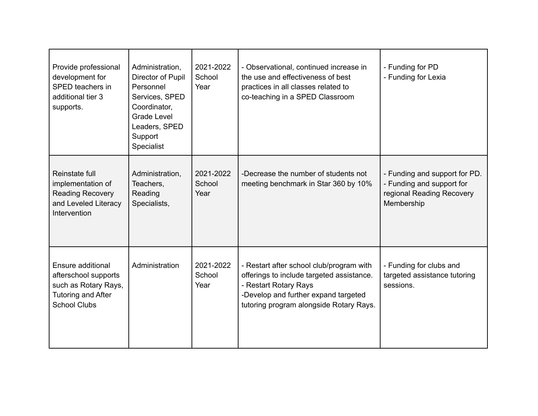| Provide professional<br>development for<br>SPED teachers in<br>additional tier 3<br>supports.                         | Administration,<br>Director of Pupil<br>Personnel<br>Services, SPED<br>Coordinator,<br><b>Grade Level</b><br>Leaders, SPED<br>Support<br>Specialist | 2021-2022<br>School<br>Year | - Observational, continued increase in<br>the use and effectiveness of best<br>practices in all classes related to<br>co-teaching in a SPED Classroom                                             | - Funding for PD<br>- Funding for Lexia                                                               |
|-----------------------------------------------------------------------------------------------------------------------|-----------------------------------------------------------------------------------------------------------------------------------------------------|-----------------------------|---------------------------------------------------------------------------------------------------------------------------------------------------------------------------------------------------|-------------------------------------------------------------------------------------------------------|
| Reinstate full<br>implementation of<br><b>Reading Recovery</b><br>and Leveled Literacy<br>Intervention                | Administration,<br>Teachers,<br>Reading<br>Specialists,                                                                                             | 2021-2022<br>School<br>Year | -Decrease the number of students not<br>meeting benchmark in Star 360 by 10%                                                                                                                      | - Funding and support for PD.<br>- Funding and support for<br>regional Reading Recovery<br>Membership |
| Ensure additional<br>afterschool supports<br>such as Rotary Rays,<br><b>Tutoring and After</b><br><b>School Clubs</b> | Administration                                                                                                                                      | 2021-2022<br>School<br>Year | - Restart after school club/program with<br>offerings to include targeted assistance.<br>- Restart Rotary Rays<br>-Develop and further expand targeted<br>tutoring program alongside Rotary Rays. | - Funding for clubs and<br>targeted assistance tutoring<br>sessions.                                  |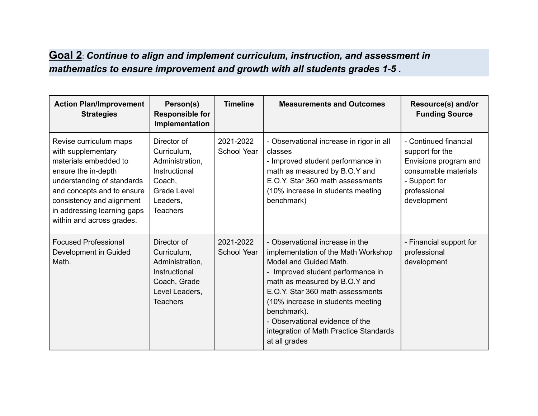## **Goal 2**: *Continue to align and implement curriculum, instruction, and assessment in mathematics to ensure improvement and growth with all students grades 1-5 .*

| <b>Action Plan/Improvement</b><br><b>Strategies</b>                                                                                                                                                                                               | Person(s)<br><b>Responsible for</b><br>Implementation                                                                         | <b>Timeline</b>                 | <b>Measurements and Outcomes</b>                                                                                                                                                                                                                                                                                                                             | Resource(s) and/or<br><b>Funding Source</b>                                                                                               |
|---------------------------------------------------------------------------------------------------------------------------------------------------------------------------------------------------------------------------------------------------|-------------------------------------------------------------------------------------------------------------------------------|---------------------------------|--------------------------------------------------------------------------------------------------------------------------------------------------------------------------------------------------------------------------------------------------------------------------------------------------------------------------------------------------------------|-------------------------------------------------------------------------------------------------------------------------------------------|
| Revise curriculum maps<br>with supplementary<br>materials embedded to<br>ensure the in-depth<br>understanding of standards<br>and concepts and to ensure<br>consistency and alignment<br>in addressing learning gaps<br>within and across grades. | Director of<br>Curriculum,<br>Administration,<br>Instructional<br>Coach,<br><b>Grade Level</b><br>Leaders,<br><b>Teachers</b> | 2021-2022<br><b>School Year</b> | - Observational increase in rigor in all<br>classes<br>- Improved student performance in<br>math as measured by B.O.Y and<br>E.O.Y. Star 360 math assessments<br>(10% increase in students meeting<br>benchmark)                                                                                                                                             | - Continued financial<br>support for the<br>Envisions program and<br>consumable materials<br>- Support for<br>professional<br>development |
| <b>Focused Professional</b><br>Development in Guided<br>Math.                                                                                                                                                                                     | Director of<br>Curriculum,<br>Administration,<br>Instructional<br>Coach, Grade<br>Level Leaders,<br><b>Teachers</b>           | 2021-2022<br><b>School Year</b> | - Observational increase in the<br>implementation of the Math Workshop<br>Model and Guided Math.<br>- Improved student performance in<br>math as measured by B.O.Y and<br>E.O.Y. Star 360 math assessments<br>(10% increase in students meeting<br>benchmark).<br>- Observational evidence of the<br>integration of Math Practice Standards<br>at all grades | - Financial support for<br>professional<br>development                                                                                    |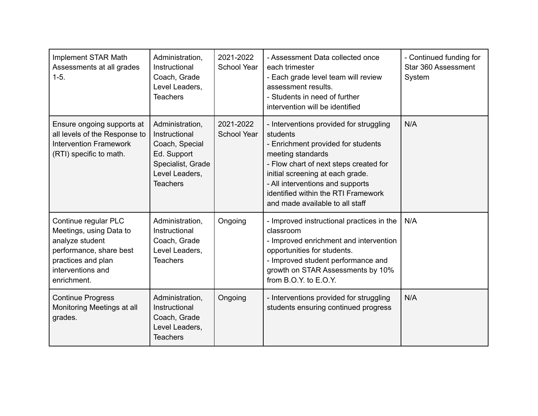| <b>Implement STAR Math</b><br>Assessments at all grades<br>$1-5.$                                                                                       | Administration,<br>Instructional<br>Coach, Grade<br>Level Leaders,<br><b>Teachers</b>                                       | 2021-2022<br><b>School Year</b> | - Assessment Data collected once<br>each trimester<br>- Each grade level team will review<br>assessment results.<br>- Students in need of further<br>intervention will be identified                                                                                                                       | - Continued funding for<br>Star 360 Assessment<br>System |
|---------------------------------------------------------------------------------------------------------------------------------------------------------|-----------------------------------------------------------------------------------------------------------------------------|---------------------------------|------------------------------------------------------------------------------------------------------------------------------------------------------------------------------------------------------------------------------------------------------------------------------------------------------------|----------------------------------------------------------|
| Ensure ongoing supports at<br>all levels of the Response to<br><b>Intervention Framework</b><br>(RTI) specific to math.                                 | Administration,<br>Instructional<br>Coach, Special<br>Ed. Support<br>Specialist, Grade<br>Level Leaders,<br><b>Teachers</b> | 2021-2022<br><b>School Year</b> | - Interventions provided for struggling<br>students<br>- Enrichment provided for students<br>meeting standards<br>- Flow chart of next steps created for<br>initial screening at each grade.<br>- All interventions and supports<br>identified within the RTI Framework<br>and made available to all staff | N/A                                                      |
| Continue regular PLC<br>Meetings, using Data to<br>analyze student<br>performance, share best<br>practices and plan<br>interventions and<br>enrichment. | Administration,<br>Instructional<br>Coach, Grade<br>Level Leaders,<br><b>Teachers</b>                                       | Ongoing                         | - Improved instructional practices in the<br>classroom<br>- Improved enrichment and intervention<br>opportunities for students.<br>- Improved student performance and<br>growth on STAR Assessments by 10%<br>from B.O.Y. to E.O.Y.                                                                        | N/A                                                      |
| <b>Continue Progress</b><br>Monitoring Meetings at all<br>grades.                                                                                       | Administration,<br>Instructional<br>Coach, Grade<br>Level Leaders,<br><b>Teachers</b>                                       | Ongoing                         | - Interventions provided for struggling<br>students ensuring continued progress                                                                                                                                                                                                                            | N/A                                                      |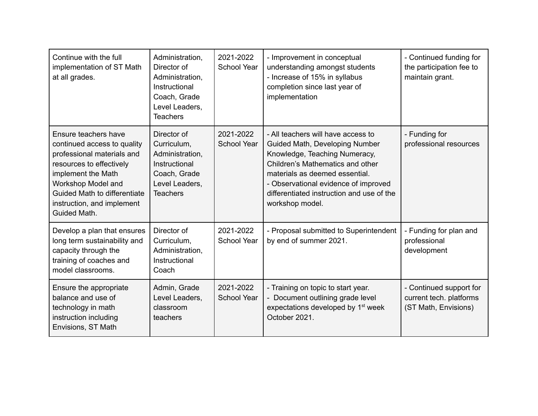| Continue with the full<br>implementation of ST Math<br>at all grades.                                                                                                                                                                   | Administration,<br>Director of<br>Administration,<br>Instructional<br>Coach, Grade<br>Level Leaders,<br><b>Teachers</b> | 2021-2022<br><b>School Year</b> | - Improvement in conceptual<br>understanding amongst students<br>- Increase of 15% in syllabus<br>completion since last year of<br>implementation                                                                                                                                   | - Continued funding for<br>the participation fee to<br>maintain grant.     |
|-----------------------------------------------------------------------------------------------------------------------------------------------------------------------------------------------------------------------------------------|-------------------------------------------------------------------------------------------------------------------------|---------------------------------|-------------------------------------------------------------------------------------------------------------------------------------------------------------------------------------------------------------------------------------------------------------------------------------|----------------------------------------------------------------------------|
| Ensure teachers have<br>continued access to quality<br>professional materials and<br>resources to effectively<br>implement the Math<br>Workshop Model and<br>Guided Math to differentiate<br>instruction, and implement<br>Guided Math. | Director of<br>Curriculum,<br>Administration,<br>Instructional<br>Coach, Grade<br>Level Leaders,<br><b>Teachers</b>     | 2021-2022<br><b>School Year</b> | - All teachers will have access to<br>Guided Math, Developing Number<br>Knowledge, Teaching Numeracy,<br>Children's Mathematics and other<br>materials as deemed essential.<br>- Observational evidence of improved<br>differentiated instruction and use of the<br>workshop model. | - Funding for<br>professional resources                                    |
| Develop a plan that ensures<br>long term sustainability and<br>capacity through the<br>training of coaches and<br>model classrooms.                                                                                                     | Director of<br>Curriculum,<br>Administration,<br>Instructional<br>Coach                                                 | 2021-2022<br><b>School Year</b> | - Proposal submitted to Superintendent<br>by end of summer 2021.                                                                                                                                                                                                                    | - Funding for plan and<br>professional<br>development                      |
| Ensure the appropriate<br>balance and use of<br>technology in math<br>instruction including<br>Envisions, ST Math                                                                                                                       | Admin, Grade<br>Level Leaders,<br>classroom<br>teachers                                                                 | 2021-2022<br><b>School Year</b> | - Training on topic to start year.<br>- Document outlining grade level<br>expectations developed by 1 <sup>st</sup> week<br>October 2021.                                                                                                                                           | - Continued support for<br>current tech. platforms<br>(ST Math, Envisions) |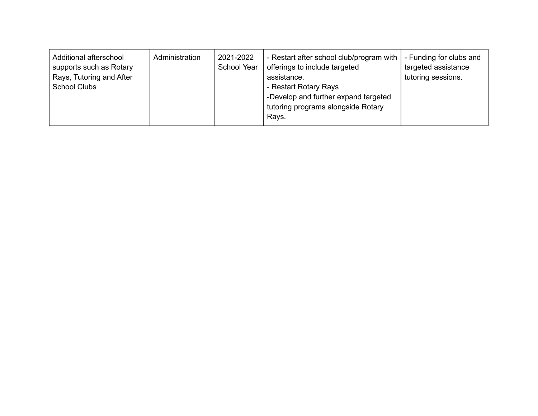| Additional afterschool<br>supports such as Rotary<br>Rays, Tutoring and After<br><b>School Clubs</b> | Administration | 2021-2022<br>School Year | - Restart after school club/program with<br>offerings to include targeted<br>assistance.<br>- Restart Rotary Rays<br>-Develop and further expand targeted<br>tutoring programs alongside Rotary<br>Rays. | - Funding for clubs and<br>targeted assistance<br>tutoring sessions. |
|------------------------------------------------------------------------------------------------------|----------------|--------------------------|----------------------------------------------------------------------------------------------------------------------------------------------------------------------------------------------------------|----------------------------------------------------------------------|
|------------------------------------------------------------------------------------------------------|----------------|--------------------------|----------------------------------------------------------------------------------------------------------------------------------------------------------------------------------------------------------|----------------------------------------------------------------------|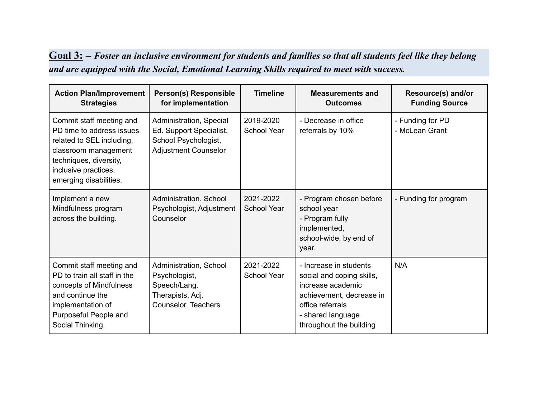## $\overline{\text{Goal 3:}}$  - Foster an inclusive environment for students and families so that all students feel like they belong *and are equipped with the Social, Emotional Learning Skills required to meet with success.*

| <b>Action Plan/Improvement</b><br><b>Strategies</b>                                                                                                                                    | <b>Person(s) Responsible</b><br>for implementation                                                        | <b>Timeline</b>                 | <b>Measurements and</b><br><b>Outcomes</b>                                                                                                                               | Resource(s) and/or<br><b>Funding Source</b> |
|----------------------------------------------------------------------------------------------------------------------------------------------------------------------------------------|-----------------------------------------------------------------------------------------------------------|---------------------------------|--------------------------------------------------------------------------------------------------------------------------------------------------------------------------|---------------------------------------------|
| Commit staff meeting and<br>PD time to address issues<br>related to SEL including,<br>classroom management<br>techniques, diversity,<br>inclusive practices,<br>emerging disabilities. | Administration, Special<br>Ed. Support Specialist,<br>School Psychologist,<br><b>Adjustment Counselor</b> | 2019-2020<br><b>School Year</b> | - Decrease in office<br>referrals by 10%                                                                                                                                 | - Funding for PD<br>- McLean Grant          |
| Implement a new<br>Mindfulness program<br>across the building.                                                                                                                         | Administration, School<br>Psychologist, Adjustment<br>Counselor                                           | 2021-2022<br><b>School Year</b> | - Program chosen before<br>school year<br>- Program fully<br>implemented,<br>school-wide, by end of<br>year.                                                             | - Funding for program                       |
| Commit staff meeting and<br>PD to train all staff in the<br>concepts of Mindfulness<br>and continue the<br>implementation of<br>Purposeful People and<br>Social Thinking.              | Administration, School<br>Psychologist,<br>Speech/Lang.<br>Therapists, Adj.<br>Counselor, Teachers        | 2021-2022<br><b>School Year</b> | - Increase in students<br>social and coping skills,<br>increase academic<br>achievement, decrease in<br>office referrals<br>- shared language<br>throughout the building | N/A                                         |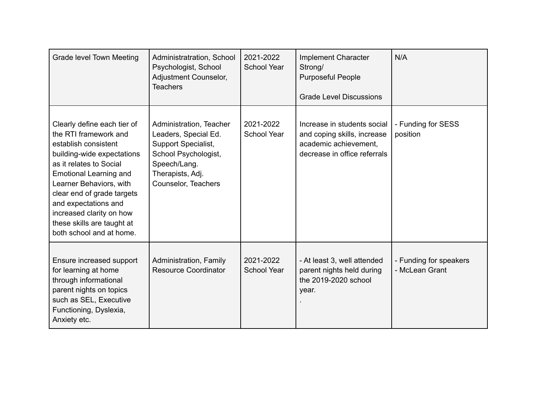| Grade level Town Meeting                                                                                                                                                                                                                                                                                                                      | Administratration, School<br>Psychologist, School<br>Adjustment Counselor,<br><b>Teachers</b>                                                             | 2021-2022<br><b>School Year</b> | <b>Implement Character</b><br>Strong/<br><b>Purposeful People</b><br><b>Grade Level Discussions</b>                 | N/A                                      |
|-----------------------------------------------------------------------------------------------------------------------------------------------------------------------------------------------------------------------------------------------------------------------------------------------------------------------------------------------|-----------------------------------------------------------------------------------------------------------------------------------------------------------|---------------------------------|---------------------------------------------------------------------------------------------------------------------|------------------------------------------|
| Clearly define each tier of<br>the RTI framework and<br>establish consistent<br>building-wide expectations<br>as it relates to Social<br><b>Emotional Learning and</b><br>Learner Behaviors, with<br>clear end of grade targets<br>and expectations and<br>increased clarity on how<br>these skills are taught at<br>both school and at home. | Administration, Teacher<br>Leaders, Special Ed.<br>Support Specialist,<br>School Psychologist,<br>Speech/Lang.<br>Therapists, Adj.<br>Counselor, Teachers | 2021-2022<br><b>School Year</b> | Increase in students social<br>and coping skills, increase<br>academic achievement,<br>decrease in office referrals | - Funding for SESS<br>position           |
| Ensure increased support<br>for learning at home<br>through informational<br>parent nights on topics<br>such as SEL, Executive<br>Functioning, Dyslexia,<br>Anxiety etc.                                                                                                                                                                      | Administration, Family<br><b>Resource Coordinator</b>                                                                                                     | 2021-2022<br><b>School Year</b> | - At least 3, well attended<br>parent nights held during<br>the 2019-2020 school<br>year.                           | - Funding for speakers<br>- McLean Grant |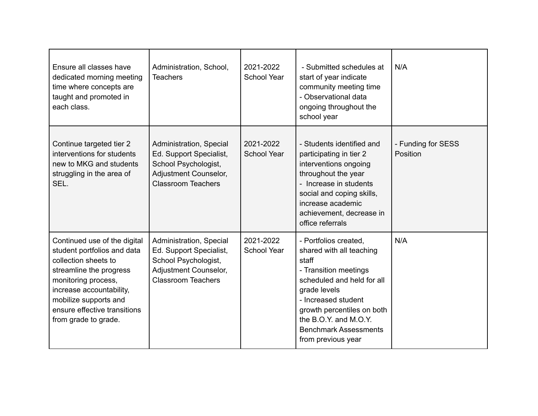| Ensure all classes have<br>dedicated morning meeting<br>time where concepts are<br>taught and promoted in<br>each class.                                                                                                                           | Administration, School,<br><b>Teachers</b>                                                                                       | 2021-2022<br><b>School Year</b> | - Submitted schedules at<br>start of year indicate<br>community meeting time<br>- Observational data<br>ongoing throughout the<br>school year                                                                                                                         | N/A                            |
|----------------------------------------------------------------------------------------------------------------------------------------------------------------------------------------------------------------------------------------------------|----------------------------------------------------------------------------------------------------------------------------------|---------------------------------|-----------------------------------------------------------------------------------------------------------------------------------------------------------------------------------------------------------------------------------------------------------------------|--------------------------------|
| Continue targeted tier 2<br>interventions for students<br>new to MKG and students<br>struggling in the area of<br>SEL.                                                                                                                             | Administration, Special<br>Ed. Support Specialist,<br>School Psychologist,<br>Adjustment Counselor,<br><b>Classroom Teachers</b> | 2021-2022<br><b>School Year</b> | - Students identified and<br>participating in tier 2<br>interventions ongoing<br>throughout the year<br>- Increase in students<br>social and coping skills,<br>increase academic<br>achievement, decrease in<br>office referrals                                      | - Funding for SESS<br>Position |
| Continued use of the digital<br>student portfolios and data<br>collection sheets to<br>streamline the progress<br>monitoring process,<br>increase accountability,<br>mobilize supports and<br>ensure effective transitions<br>from grade to grade. | Administration, Special<br>Ed. Support Specialist,<br>School Psychologist,<br>Adjustment Counselor,<br><b>Classroom Teachers</b> | 2021-2022<br><b>School Year</b> | - Portfolios created.<br>shared with all teaching<br>staff<br>- Transition meetings<br>scheduled and held for all<br>grade levels<br>- Increased student<br>growth percentiles on both<br>the B.O.Y. and M.O.Y.<br><b>Benchmark Assessments</b><br>from previous year | N/A                            |